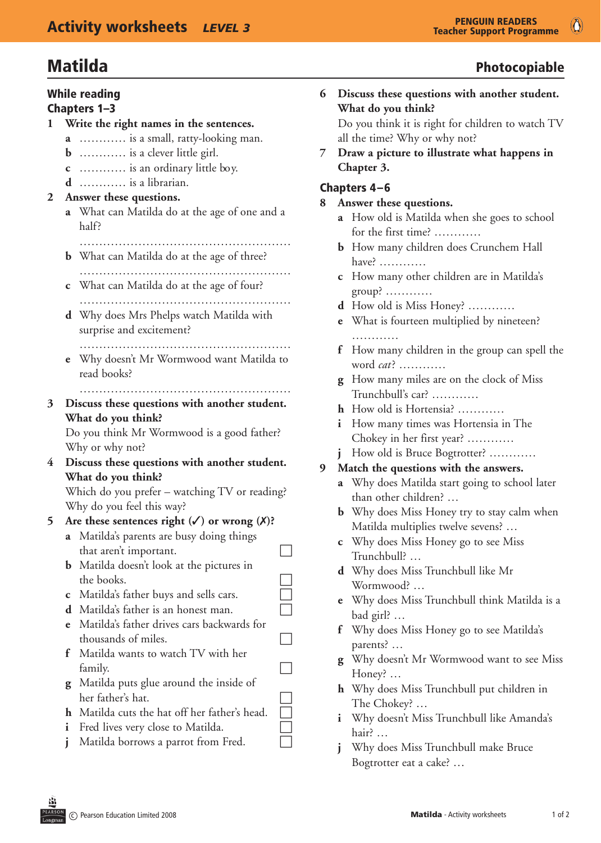## Photocopiable

| Matilda                       |              |                                                                      |  |  |
|-------------------------------|--------------|----------------------------------------------------------------------|--|--|
| While reading<br>Chapters 1-3 |              |                                                                      |  |  |
| 1                             |              | Write the right names in the sentences.                              |  |  |
|                               |              | <b>a</b> is a small, ratty-looking man.                              |  |  |
|                               |              | <b>b</b> is a clever little girl.                                    |  |  |
|                               |              | c  is an ordinary little boy.                                        |  |  |
|                               |              | $d$ is a librarian.                                                  |  |  |
| $\mathbf{2}$                  |              | Answer these questions.                                              |  |  |
|                               |              | a What can Matilda do at the age of one and a<br>half?               |  |  |
|                               |              | <b>b</b> What can Matilda do at the age of three?                    |  |  |
|                               |              | c What can Matilda do at the age of four?                            |  |  |
|                               |              | d Why does Mrs Phelps watch Matilda with<br>surprise and excitement? |  |  |
|                               | e            | Why doesn't Mr Wormwood want Matilda to<br>read books?               |  |  |
| 3                             |              | Discuss these questions with another student.                        |  |  |
|                               |              | What do you think?                                                   |  |  |
|                               |              | Do you think Mr Wormwood is a good father?                           |  |  |
|                               |              | Why or why not?                                                      |  |  |
| 4                             |              | Discuss these questions with another student.                        |  |  |
|                               |              | What do you think?                                                   |  |  |
|                               |              | Which do you prefer – watching TV or reading?                        |  |  |
|                               |              | Why do you feel this way?                                            |  |  |
| 5                             |              | Are these sentences right $(\checkmark)$ or wrong $(\checkmark)$ ?   |  |  |
|                               | a            | Matilda's parents are busy doing things                              |  |  |
|                               |              | that aren't important.                                               |  |  |
|                               | b            | Matilda doesn't look at the pictures in                              |  |  |
|                               |              | the books.<br>$\overline{a}$                                         |  |  |
|                               | C            | Matilda's father buys and sells cars.                                |  |  |
|                               |              | <b>d</b> Matilda's father is an honest man.                          |  |  |
|                               | e            | Matilda's father drives cars backwards for                           |  |  |
|                               |              | thousands of miles.                                                  |  |  |
|                               | f            | Matilda wants to watch TV with her                                   |  |  |
|                               |              | family.                                                              |  |  |
|                               | g            | Matilda puts glue around the inside of                               |  |  |
|                               |              | her father's hat.                                                    |  |  |
|                               | h            | Ξ<br>Matilda cuts the hat off her father's head.                     |  |  |
|                               | $\mathbf{i}$ | Fred lives very close to Matilda.                                    |  |  |
|                               | i            | Matilda borrows a parrot from Fred.                                  |  |  |
|                               |              |                                                                      |  |  |

| 6 Discuss these questions with another student.<br>What do you think? |  |  |
|-----------------------------------------------------------------------|--|--|
|                                                                       |  |  |
| all the time? Why or why not?                                         |  |  |

**7** Draw a picture to illustrate what happens in Chapter 3.

### Chapters 4–6

#### **8** Answer these questions.

- **a** How old is Matilda when she goes to school for the first time? …………
- **b** How many children does Crunchem Hall have? …………
- **c** How many other children are in Matilda's group?  $\dots\dots\dots\dots$
- **d** How old is Miss Honey? …………
- **e** What is fourteen multiplied by nineteen? …………
- **f** How many children in the group can spell the word *cat*? …………
- **g** How many miles are on the clock of Miss Trunchbull's car? …………
- **h** How old is Hortensia? …………
- **i** How many times was Hortensia in The Chokey in her first year? ............
- **j** How old is Bruce Bogtrotter? ............

### **9** Match the questions with the answers.

- **a** Why does Matilda start going to school later than other children? ...
- **b** Why does Miss Honey try to stay calm when Matilda multiplies twelve sevens? ...
- **c** Why does Miss Honey go to see Miss Trunchbull? ...
- **d** Why does Miss Trunchbull like Mr Wormwood? ...
- **e** Why does Miss Trunchbull think Matilda is a bad girl? ...
- **f** Why does Miss Honey go to see Matilda's parents? ...
- **g** Why doesn't Mr Wormwood want to see Miss Honey? ...
- **h** Why does Miss Trunchbull put children in The Chokey? ...
- **i** Why doesn't Miss Trunchbull like Amanda's hair? ...
- **j** Why does Miss Trunchbull make Bruce Bogtrotter eat a cake? ...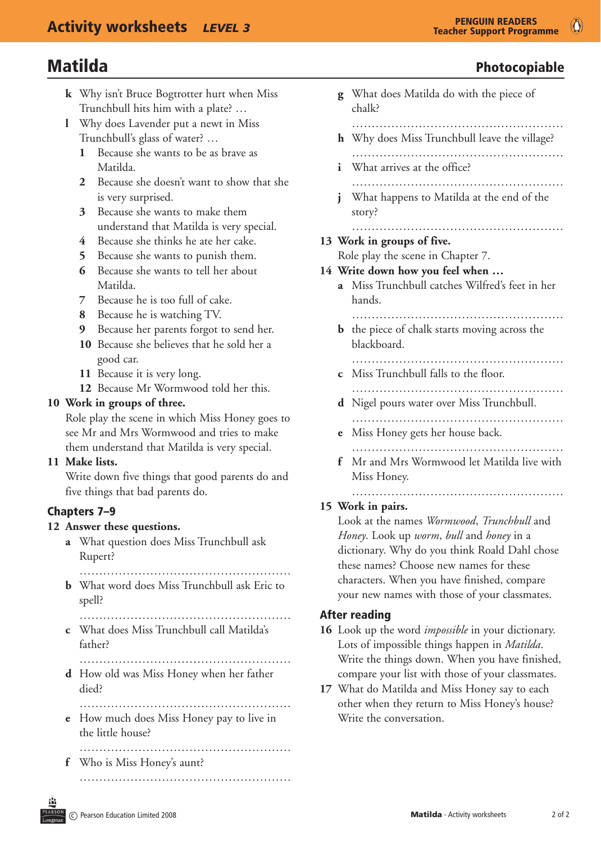# **Matilda** Photocopiable

- **k** Why isn't Bruce Bogtrotter hurt when Miss Trunchbull hits him with a plate? ...
- **1** Why does Lavender put a newt in Miss Trunchbull's glass of water? ...
	- **1** Because she wants to be as brave as Matilda.
	- **2** Because she doesn't want to show that she is very surprised.
	- **3** Because she wants to make them understand that Matilda is very special.
	- 4 Because she thinks he ate her cake.
	- **5** Because she wants to punish them.
	- **6** Because she wants to tell her about Matilda.
	- **7** Because he is too full of cake.
	- **8** Because he is watching TV.
	- **9** Because her parents forgot to send her.
	- **10** Because she believes that he sold her a good car.
	- **11** Because it is very long.
	- **12** Because Mr Wormwood told her this.

### 10 Work in groups of three.

Role play the scene in which Miss Honey goes to see Mr and Mrs Wormwood and tries to make them understand that Matilda is very special.

### 11 Make lists.

Write down five things that good parents do and five things that bad parents do.

### Chapters 7–9

#### 12 Answer these questions.

- **a** What question does Miss Trunchbull ask Rupert?
- ……………………………………………… **b** What word does Miss Trunchbull ask Eric to
	- spell?

```
	 	………………………………………………
c What does Miss Trunchbull call Matilda's
  father?
```
 ………………………………………………

- **d** How old was Miss Honey when her father died?
- ……………………………………………… **e** How much does Miss Honey pay to live in the little house?

 ………………………………………………

- ………………………………………………
- **f** Who is Miss Honey's aunt?
- **g** What does Matilda do with the piece of chalk? ………………………………………………
- **h** Why does Miss Trunchbull leave the village?
- ………………………………………………
- **i** What arrives at the office? ………………………………………………
- **j** What happens to Matilda at the end of the story?

### ………………………………………………

13 Work in groups of five.

Role play the scene in Chapter 7.

#### 14 Write down how you feel when ...

**a** Miss Trunchbull catches Wilfred's feet in her hands. 

 ………………………………………………

**b** the piece of chalk starts moving across the blackboard. 

 ………………………………………………

- **c** Miss Trunchbull falls to the floor.
- ………………………………………………
- **d** Nigel pours water over Miss Trunchbull.
- **e** Miss Honey gets her house back.

 ………………………………………………

 ………………………………………………

**f** Mr and Mrs Wormwood let Matilda live with Miss Honey.

### ………………………………………………

### 15 Work in pairs.

Look at the names *Wormwood*, *Trunchbull* and *Honey*. Look up *worm*, *bull* and *honey* in a dictionary. Why do you think Roald Dahl chose these names? Choose new names for these characters. When you have finished, compare your new names with those of your classmates.

### **After reading**

- **16** Look up the word *impossible* in your dictionary. Lots of impossible things happen in *Matilda*. Write the things down. When you have finished, compare your list with those of your classmates.
- **17** What do Matilda and Miss Honey say to each other when they return to Miss Honey's house? Write the conversation.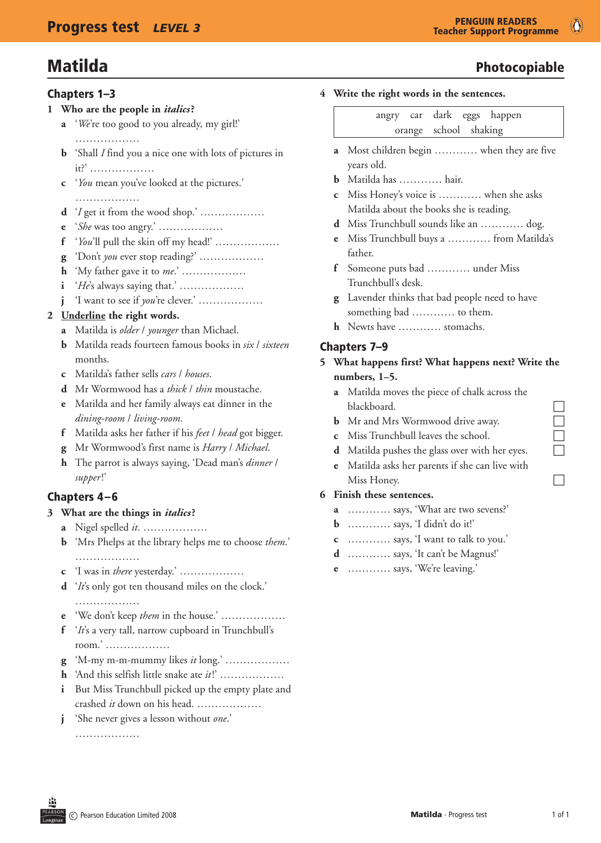# **Matilda** Photocopiable

#### Chapters 1–3

- **1** Who are the people in *italics*?
	- **a** *'We*'re too good to you already, my girl!' …………………
	- **b** 'Shall *I* find you a nice one with lots of pictures in it?' ………………
	- **c** *'You* mean you've looked at the pictures.' …………………
	- **d** '*I* get it from the wood shop.' .................
	- **e** *She* was too angry.' ..................
	- **f** '*You*'ll pull the skin off my head!' ..................
	- **g** 'Don't *you* ever stop reading?' ..................
	- **h** 'My father gave it to *me*.' ..................
	- **i** '*He*'s always saying that.' ………………
	- **j** 'I want to see if *you*'re clever.' ..................

### 2 **Underline** the right words.

- **a** Matilda is *older* / *younger* than Michael.
- **b** Matilda reads fourteen famous books in six / sixteen months.
- **c** Matilda's father sells *cars* / *houses*.
- **d** Mr Wormwood has a *thick* / *thin* moustache.
- **e** Matilda and her family always eat dinner in the *dining-room* / *living-room*.
- **f** Matilda asks her father if his *feet* / head got bigger.
- **g** Mr Wormwood's first name is *Harry* / *Michael*.
- **h** The parrot is always saying, 'Dead man's *dinner* / *supper*!'

### Chapters 4-6

- **3** What are the things in *italics*?
	- **a** Nigel spelled *it*. ………………
	- **b** 'Mrs Phelps at the library helps me to choose *them*.' ………………
	- **c** 'I was in *there* yesterday.' ………………
	- **d** '*It*'s only got ten thousand miles on the clock.' ………………
	- **e** 'We don't keep *them* in the house.' ..................
	- **f** '*It*'s a very tall, narrow cupboard in Trunchbull's room.' ………………
	- **g** 'M-my m-m-mummy likes *it* long.' ………………
	- **h** `And this selfish little snake ate *it*!' ………………
	- **i** But Miss Trunchbull picked up the empty plate and crashed *it* down on his head. ..................
	- **j** 'She never gives a lesson without *one*.'

………………

### 4 Write the right words in the sentences.

angry car dark eggs happen orange school shaking

- **a** Most children begin ............ when they are five years old.
- **b** Matilda has ………… hair.
- **c** Miss Honey's voice is ………… when she asks Matilda about the books she is reading.
- **d** Miss Trunchbull sounds like an ………… dog.
- **e** Miss Trunchbull buys a ............ from Matilda's father.
- **f** Someone puts bad ………… under Miss Trunchbull's desk.
- **g** Lavender thinks that bad people need to have something bad ............. to them.
- **h** Newts have ………… stomachs.

### Chapters 7–9

- 5 What happens first? What happens next? Write the **numbers, 1–5.**
	- **a** Matilda moves the piece of chalk across the blackboard.
	- **b** Mr and Mrs Wormwood drive away.<br> **c** Miss Trunchbull leaves the school.
	- **c** Miss Trunchbull leaves the school.  $\Box$ <br>**d** Matilda pushes the glass over with her eves.  $\Box$
	- **d** Matilda pushes the glass over with her eyes.
	- **e** Matilda asks her parents if she can live with  $M$  is Honey.  $\Box$
- **6** Finish these sentences.
	- **a** ………… says, 'What are two sevens?'
	- **b** ………… says, 'I didn't do it!'
	- **c** ………… says, 'I want to talk to you.'
	- **d** ………… says, 'It can't be Magnus!'
	- **e** ………… says, 'We're leaving.'

 $\bullet$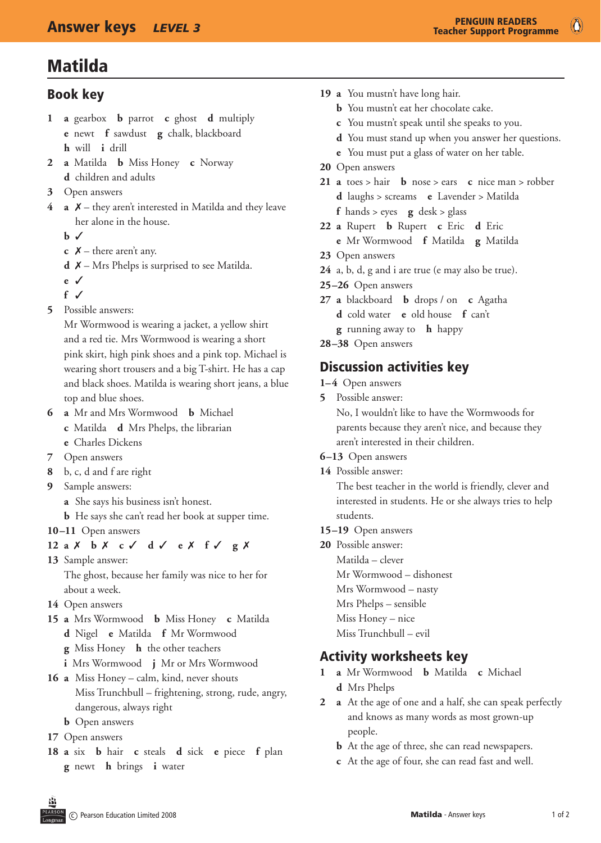# Matilda

## Book key

- **1 a** gearbox **b** parrot **c** ghost **d** multiply **e** newt **f** sawdust **g** chalk, blackboard
	- **h** will **i** drill
- **2 a** Matilda **b** Miss Honey **c** Norway **d** children and adults
- **3** Open answers
- **4 a**  $X$  they aren't interested in Matilda and they leave her alone in the house.
	- $h \,$
	- **c**  $X$  there aren't any.
	- $d \mathsf{X}$  Mrs Phelps is surprised to see Matilda.
	- **e** 3
	- **f** 3
- **5** Possible answers:

Mr Wormwood is wearing a jacket, a yellow shirt and a red tie. Mrs Wormwood is wearing a short pink skirt, high pink shoes and a pink top. Michael is wearing short trousers and a big T-shirt. He has a cap and black shoes. Matilda is wearing short jeans, a blue top and blue shoes.

- **6 a** Mr and Mrs Wormwood **b** Michael **c** Matilda **d** Mrs Phelps, the librarian
	- **e** Charles Dickens
- **7**  Open answers
- **8** b, c, d and f are right
- **9** Sample answers:
	- **a** She says his business isn't honest.
	- **b** He says she can't read her book at supper time.
- **10–11** Open answers
- **12 a** *X* **b** *X* **c** √ **d** √ **e** *X* **f** √ **g** *X*
- **13**  Sample answer:

The ghost, because her family was nice to her for about a week.

- **14** Open answers
- **15 a** Mrs Wormwood **b** Miss Honey **c** Matilda **d** Nigel **e** Matilda **f** Mr Wormwood
	- **g** Miss Honey **h** the other teachers
	- **i** Mrs Wormwood **j** Mr or Mrs Wormwood
- 16 **a** Miss Honey calm, kind, never shouts Miss Trunchbull – frightening, strong, rude, angry, dangerous, always right
	- **b** Open answers
- **17** Open answers
- **18 a** six **b** hair **c** steals **d** sick **e** piece **f** plan **g** newt **h** brings **i** water
- **19 a** You mustn't have long hair.
	- **b** You mustn't eat her chocolate cake.
	- **c** You mustn't speak until she speaks to you.
	- **d** You must stand up when you answer her questions.
	- **e** You must put a glass of water on her table.
- **20** Open answers
- **21 a** toes > hair **b** nose > ears **c** nice man > robber **d** laughs > screams **e** Lavender > Matilda
	- **f** hands > eyes **g**  $\text{desk}$  > glass
- **22 a** Rupert **b** Rupert **c** Eric **d** Eric **e** Mr Wormwood **f** Matilda **g** Matilda
- 23 Open answers
- **24** a, b, d, g and i are true (e may also be true).
- **25–26** Open answers
- **27 a** blackboard **b** drops / on **c** Agatha **d** cold water **e** old house **f** can't **g** running away to **h** happy
- **28–38** Open answers

## Discussion activities key

- **1–4** Open answers
- **5**  Possible answer:

No, I wouldn't like to have the Wormwoods for parents because they aren't nice, and because they aren't interested in their children.

- **6–13** Open answers
- **14**  Possible answer:

The best teacher in the world is friendly, clever and interested in students. He or she always tries to help students.

- **15–19** Open answers
- **20**  Possible answer:
	- Matilda clever
		- Mr Wormwood dishonest
		- Mrs Wormwood nasty
		- Mrs Phelps sensible
		- Miss Honey nice
		- Miss Trunchbull evil

## Activity worksheets key

- **1 a** Mr Wormwood **b** Matilda **c** Michael **d** Mrs Phelps
- **2 a** At the age of one and a half, she can speak perfectly and knows as many words as most grown-up people.
	- **b** At the age of three, she can read newspapers.
	- **c** At the age of four, she can read fast and well.